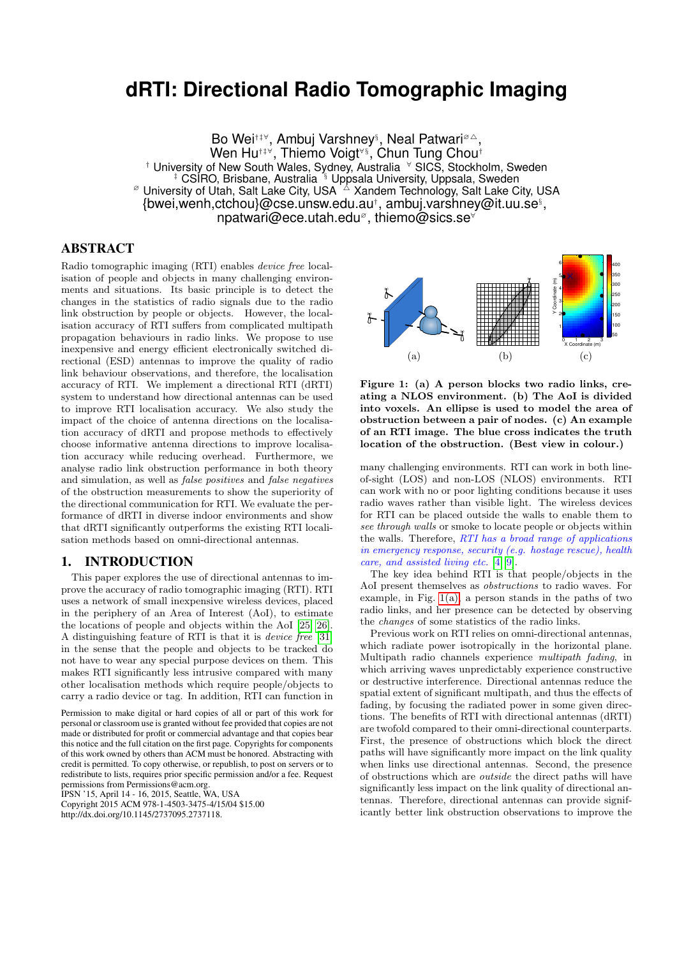# **dRTI: Directional Radio Tomographic Imaging**

Bo Wei<sup>†‡∀</sup>, Ambuj Varshney<sup>§</sup>, Neal Patwari<sup>⊗∆</sup>, Wen Hu†‡∀, Thiemo Voigt∀§, Chun Tung Chou† † University of New South Wales, Sydney, Australia <sup>∀</sup> SICS, Stockholm, Sweden ‡ CSIRO, Brisbane, Australia § Uppsala University, Uppsala, Sweden  $\textdegree$  University of Utah, Salt Lake City, USA  $\textdegree{\Delta}$  Xandem Technology, Salt Lake City, USA {bwei,wenh,ctchou}@cse.unsw.edu.au† , ambuj.varshney@it.uu.se§ , npatwari@ece.utah.edu<sup>*®*</sup>, thiemo@sics.se∀</sup>

# ABSTRACT

Radio tomographic imaging (RTI) enables device free localisation of people and objects in many challenging environments and situations. Its basic principle is to detect the changes in the statistics of radio signals due to the radio link obstruction by people or objects. However, the localisation accuracy of RTI suffers from complicated multipath propagation behaviours in radio links. We propose to use inexpensive and energy efficient electronically switched directional (ESD) antennas to improve the quality of radio link behaviour observations, and therefore, the localisation accuracy of RTI. We implement a directional RTI (dRTI) system to understand how directional antennas can be used to improve RTI localisation accuracy. We also study the impact of the choice of antenna directions on the localisation accuracy of dRTI and propose methods to effectively choose informative antenna directions to improve localisation accuracy while reducing overhead. Furthermore, we analyse radio link obstruction performance in both theory and simulation, as well as false positives and false negatives of the obstruction measurements to show the superiority of the directional communication for RTI. We evaluate the performance of dRTI in diverse indoor environments and show that dRTI significantly outperforms the existing RTI localisation methods based on omni-directional antennas.

#### 1. INTRODUCTION

This paper explores the use of directional antennas to improve the accuracy of radio tomographic imaging (RTI). RTI uses a network of small inexpensive wireless devices, placed in the periphery of an Area of Interest (AoI), to estimate the locations of people and objects within the AoI [\[25,](#page-11-0) [26\]](#page-11-1). A distinguishing feature of RTI is that it is device free [\[31\]](#page-11-2) in the sense that the people and objects to be tracked do not have to wear any special purpose devices on them. This makes RTI significantly less intrusive compared with many other localisation methods which require people/objects to carry a radio device or tag. In addition, RTI can function in

Permission to make digital or hard copies of all or part of this work for personal or classroom use is granted without fee provided that copies are not made or distributed for profit or commercial advantage and that copies bear this notice and the full citation on the first page. Copyrights for components of this work owned by others than ACM must be honored. Abstracting with credit is permitted. To copy otherwise, or republish, to post on servers or to redistribute to lists, requires prior specific permission and/or a fee. Request permissions from Permissions@acm.org.

IPSN '15, April 14 - 16, 2015, Seattle, WA, USA

Copyright 2015 ACM 978-1-4503-3475-4/15/04 \$15.00 http://dx.doi.org/10.1145/2737095.2737118.

<span id="page-0-0"></span>

<span id="page-0-2"></span><span id="page-0-1"></span>Figure 1: (a) A person blocks two radio links, creating a NLOS environment. (b) The AoI is divided into voxels. An ellipse is used to model the area of obstruction between a pair of nodes. (c) An example of an RTI image. The blue cross indicates the truth location of the obstruction. (Best view in colour.)

many challenging environments. RTI can work in both lineof-sight (LOS) and non-LOS (NLOS) environments. RTI can work with no or poor lighting conditions because it uses radio waves rather than visible light. The wireless devices for RTI can be placed outside the walls to enable them to see through walls or smoke to locate people or objects within the walls. Therefore, RTI has a broad range of applications in emergency response, security (e.g. hostage rescue), health care, and assisted living etc. [\[4,](#page-11-3) [9\]](#page-11-4).

The key idea behind RTI is that people/objects in the AoI present themselves as obstructions to radio waves. For example, in Fig. [1\(a\),](#page-0-0) a person stands in the paths of two radio links, and her presence can be detected by observing the changes of some statistics of the radio links.

Previous work on RTI relies on omni-directional antennas, which radiate power isotropically in the horizontal plane. Multipath radio channels experience multipath fading, in which arriving waves unpredictably experience constructive or destructive interference. Directional antennas reduce the spatial extent of significant multipath, and thus the effects of fading, by focusing the radiated power in some given directions. The benefits of RTI with directional antennas (dRTI) are twofold compared to their omni-directional counterparts. First, the presence of obstructions which block the direct paths will have significantly more impact on the link quality when links use directional antennas. Second, the presence of obstructions which are outside the direct paths will have significantly less impact on the link quality of directional antennas. Therefore, directional antennas can provide significantly better link obstruction observations to improve the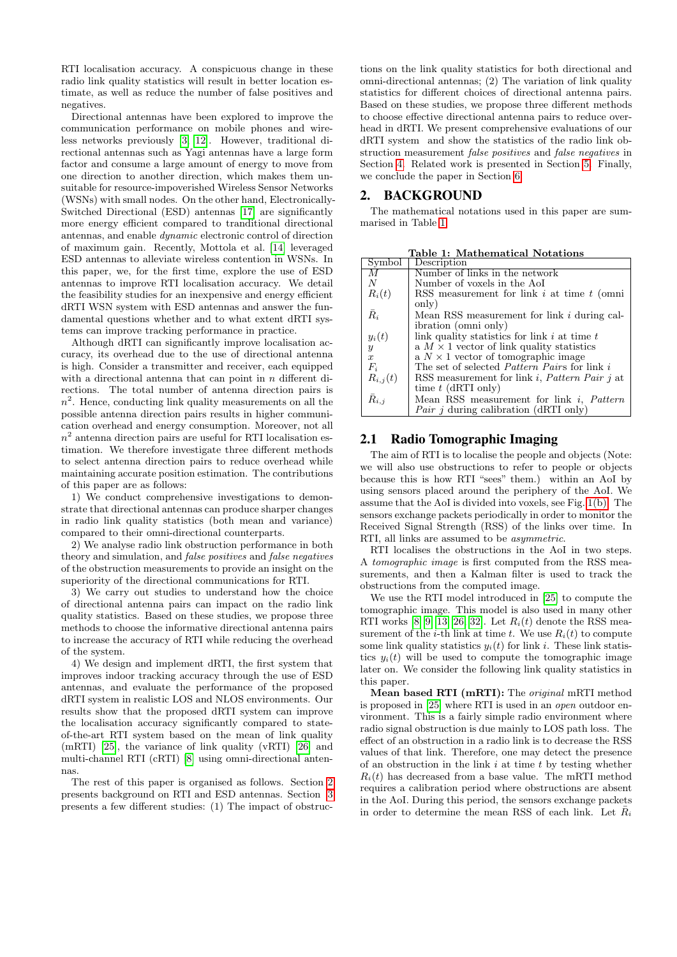RTI localisation accuracy. A conspicuous change in these radio link quality statistics will result in better location estimate, as well as reduce the number of false positives and negatives.

Directional antennas have been explored to improve the communication performance on mobile phones and wireless networks previously [\[3,](#page-11-5) [12\]](#page-11-6). However, traditional directional antennas such as Yagi antennas have a large form factor and consume a large amount of energy to move from one direction to another direction, which makes them unsuitable for resource-impoverished Wireless Sensor Networks (WSNs) with small nodes. On the other hand, Electronically-Switched Directional (ESD) antennas [\[17\]](#page-11-7) are significantly more energy efficient compared to tranditional directional antennas, and enable dynamic electronic control of direction of maximum gain. Recently, Mottola et al. [\[14\]](#page-11-8) leveraged ESD antennas to alleviate wireless contention in WSNs. In this paper, we, for the first time, explore the use of ESD antennas to improve RTI localisation accuracy. We detail the feasibility studies for an inexpensive and energy efficient dRTI WSN system with ESD antennas and answer the fundamental questions whether and to what extent dRTI systems can improve tracking performance in practice.

Although dRTI can significantly improve localisation accuracy, its overhead due to the use of directional antenna is high. Consider a transmitter and receiver, each equipped with a directional antenna that can point in  $n$  different directions. The total number of antenna direction pairs is  $n^2$ . Hence, conducting link quality measurements on all the possible antenna direction pairs results in higher communication overhead and energy consumption. Moreover, not all  $n<sup>2</sup>$  antenna direction pairs are useful for RTI localisation estimation. We therefore investigate three different methods to select antenna direction pairs to reduce overhead while maintaining accurate position estimation. The contributions of this paper are as follows:

1) We conduct comprehensive investigations to demonstrate that directional antennas can produce sharper changes in radio link quality statistics (both mean and variance) compared to their omni-directional counterparts.

2) We analyse radio link obstruction performance in both theory and simulation, and false positives and false negatives of the obstruction measurements to provide an insight on the superiority of the directional communications for RTI.

3) We carry out studies to understand how the choice of directional antenna pairs can impact on the radio link quality statistics. Based on these studies, we propose three methods to choose the informative directional antenna pairs to increase the accuracy of RTI while reducing the overhead of the system.

4) We design and implement dRTI, the first system that improves indoor tracking accuracy through the use of ESD antennas, and evaluate the performance of the proposed dRTI system in realistic LOS and NLOS environments. Our results show that the proposed dRTI system can improve the localisation accuracy significantly compared to stateof-the-art RTI system based on the mean of link quality (mRTI) [\[25\]](#page-11-0), the variance of link quality (vRTI) [\[26\]](#page-11-1) and multi-channel RTI (cRTI) [\[8\]](#page-11-9) using omni-directional antennas.

The rest of this paper is organised as follows. Section [2](#page-1-0) presents background on RTI and ESD antennas. Section [3](#page-2-0) presents a few different studies: (1) The impact of obstruc-

tions on the link quality statistics for both directional and omni-directional antennas; (2) The variation of link quality statistics for different choices of directional antenna pairs. Based on these studies, we propose three different methods to choose effective directional antenna pairs to reduce overhead in dRTI. We present comprehensive evaluations of our dRTI system and show the statistics of the radio link obstruction measurement false positives and false negatives in Section [4.](#page-6-0) Related work is presented in Section [5.](#page-10-0) Finally, we conclude the paper in Section [6.](#page-11-10)

### <span id="page-1-0"></span>2. BACKGROUND

The mathematical notations used in this paper are summarised in Table [1.](#page-1-1)

Table 1: Mathematical Notations

<span id="page-1-1"></span>

| Symbol            | Description                                                  |
|-------------------|--------------------------------------------------------------|
| М                 | Number of links in the network                               |
| N                 | Number of voxels in the AoI                                  |
| $R_i(t)$          | RSS measurement for link i at time t (omni                   |
|                   | only)                                                        |
| $\bar{R}_i$       | Mean RSS measurement for link <i>i</i> during cal-           |
|                   | ibration (omni only)                                         |
| $y_i(t)$          | link quality statistics for link $i$ at time $t$             |
| $\overline{y}$    | a $M \times 1$ vector of link quality statistics             |
| $\hat{x}$         | a $N \times 1$ vector of tomographic image                   |
| $F_i$             | The set of selected <i>Pattern Pairs</i> for link i          |
| $R_{i,j}(t)$      | RSS measurement for link <i>i</i> , <i>Pattern Pair j</i> at |
|                   | time $t$ (dRTI only)                                         |
| $\bar{R}_{i.\,i}$ | Mean RSS measurement for link i, Pattern                     |
|                   | <i>Pair j</i> during calibration (dRTI only)                 |

### <span id="page-1-2"></span>2.1 Radio Tomographic Imaging

The aim of RTI is to localise the people and objects (Note: we will also use obstructions to refer to people or objects because this is how RTI "sees" them.) within an AoI by using sensors placed around the periphery of the AoI. We assume that the AoI is divided into voxels, see Fig. [1\(b\).](#page-0-1) The sensors exchange packets periodically in order to monitor the Received Signal Strength (RSS) of the links over time. In RTI, all links are assumed to be *asymmetric*.

RTI localises the obstructions in the AoI in two steps. A tomographic image is first computed from the RSS measurements, and then a Kalman filter is used to track the obstructions from the computed image.

We use the RTI model introduced in [\[25\]](#page-11-0) to compute the tomographic image. This model is also used in many other RTI works [\[8,](#page-11-9) [9,](#page-11-4) [13,](#page-11-11) [26,](#page-11-1) [32\]](#page-11-12). Let  $R_i(t)$  denote the RSS measurement of the *i*-th link at time t. We use  $R_i(t)$  to compute some link quality statistics  $y_i(t)$  for link i. These link statistics  $y_i(t)$  will be used to compute the tomographic image later on. We consider the following link quality statistics in this paper.

Mean based RTI (mRTI): The original mRTI method is proposed in [\[25\]](#page-11-0) where RTI is used in an open outdoor environment. This is a fairly simple radio environment where radio signal obstruction is due mainly to LOS path loss. The effect of an obstruction in a radio link is to decrease the RSS values of that link. Therefore, one may detect the presence of an obstruction in the link  $i$  at time  $t$  by testing whether  $R_i(t)$  has decreased from a base value. The mRTI method requires a calibration period where obstructions are absent in the AoI. During this period, the sensors exchange packets in order to determine the mean RSS of each link. Let  $\bar{R}_i$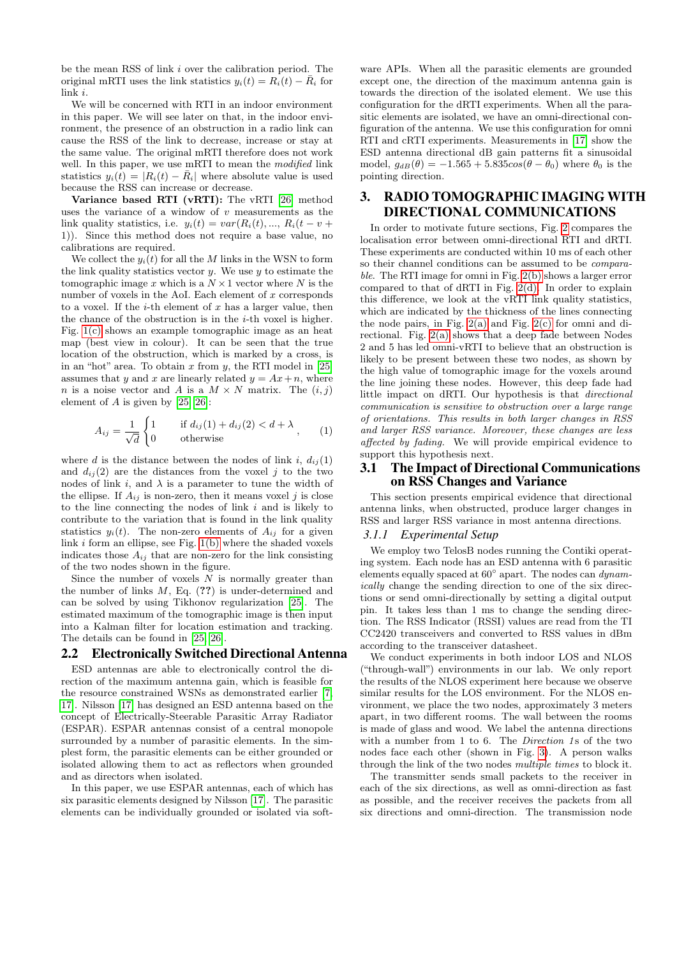be the mean RSS of link i over the calibration period. The original mRTI uses the link statistics  $y_i(t) = R_i(t) - \bar{R}_i$  for link i.

We will be concerned with RTI in an indoor environment in this paper. We will see later on that, in the indoor environment, the presence of an obstruction in a radio link can cause the RSS of the link to decrease, increase or stay at the same value. The original mRTI therefore does not work well. In this paper, we use mRTI to mean the *modified* link statistics  $y_i(t) = |R_i(t) - \bar{R}_i|$  where absolute value is used because the RSS can increase or decrease.

Variance based RTI (vRTI): The vRTI [\[26\]](#page-11-1) method uses the variance of a window of  $v$  measurements as the link quality statistics, i.e.  $y_i(t) = var(R_i(t), ..., R_i(t - v +$ 1)). Since this method does not require a base value, no calibrations are required.

We collect the  $y_i(t)$  for all the M links in the WSN to form the link quality statistics vector  $y$ . We use  $y$  to estimate the tomographic image x which is a  $N \times 1$  vector where N is the number of voxels in the AoI. Each element of  $x$  corresponds to a voxel. If the  $i$ -th element of x has a larger value, then the chance of the obstruction is in the i-th voxel is higher. Fig. [1\(c\)](#page-0-2) shows an example tomographic image as an heat map (best view in colour). It can be seen that the true location of the obstruction, which is marked by a cross, is in an "hot" area. To obtain  $x$  from  $y$ , the RTI model in [\[25\]](#page-11-0) assumes that y and x are linearly related  $y = Ax + n$ , where  $n$  is a noise vector and  $A$  is a  $M \times N$  matrix. The  $(i, j)$ element of  $A$  is given by [\[25,](#page-11-0) [26\]](#page-11-1):

<span id="page-2-3"></span>
$$
A_{ij} = \frac{1}{\sqrt{d}} \begin{cases} 1 & \text{if } d_{ij}(1) + d_{ij}(2) < d + \lambda \\ 0 & \text{otherwise} \end{cases} \tag{1}
$$

where d is the distance between the nodes of link i,  $d_{ii}(1)$ and  $d_{ij}(2)$  are the distances from the voxel j to the two nodes of link i, and  $\lambda$  is a parameter to tune the width of the ellipse. If  $A_{ij}$  is non-zero, then it means voxel j is close to the line connecting the nodes of link  $i$  and is likely to contribute to the variation that is found in the link quality statistics  $y_i(t)$ . The non-zero elements of  $A_{ij}$  for a given link  $i$  form an ellipse, see Fig.  $1(b)$  where the shaded voxels indicates those  $A_{ij}$  that are non-zero for the link consisting of the two nodes shown in the figure.

Since the number of voxels  $\overline{N}$  is normally greater than the number of links  $M$ , Eq.  $(?)$  is under-determined and can be solved by using Tikhonov regularization [\[25\]](#page-11-0). The estimated maximum of the tomographic image is then input into a Kalman filter for location estimation and tracking. The details can be found in [\[25,](#page-11-0) [26\]](#page-11-1).

# <span id="page-2-1"></span>2.2 Electronically Switched Directional Antenna

ESD antennas are able to electronically control the direction of the maximum antenna gain, which is feasible for the resource constrained WSNs as demonstrated earlier [\[7,](#page-11-13) [17\]](#page-11-7). Nilsson [\[17\]](#page-11-7) has designed an ESD antenna based on the concept of Electrically-Steerable Parasitic Array Radiator (ESPAR). ESPAR antennas consist of a central monopole surrounded by a number of parasitic elements. In the simplest form, the parasitic elements can be either grounded or isolated allowing them to act as reflectors when grounded and as directors when isolated.

In this paper, we use ESPAR antennas, each of which has six parasitic elements designed by Nilsson [\[17\]](#page-11-7). The parasitic elements can be individually grounded or isolated via soft-

ware APIs. When all the parasitic elements are grounded except one, the direction of the maximum antenna gain is towards the direction of the isolated element. We use this configuration for the dRTI experiments. When all the parasitic elements are isolated, we have an omni-directional configuration of the antenna. We use this configuration for omni RTI and cRTI experiments. Measurements in [\[17\]](#page-11-7) show the ESD antenna directional dB gain patterns fit a sinusoidal model,  $g_{dB}(\theta) = -1.565 + 5.835\cos(\theta - \theta_0)$  where  $\theta_0$  is the pointing direction.

# <span id="page-2-0"></span>3. RADIO TOMOGRAPHIC IMAGING WITH DIRECTIONAL COMMUNICATIONS

In order to motivate future sections, Fig. [2](#page-3-0) compares the localisation error between omni-directional RTI and dRTI. These experiments are conducted within 10 ms of each other so their channel conditions can be assumed to be compara-ble. The RTI image for omni in Fig. [2\(b\)](#page-3-1) shows a larger error compared to that of dRTI in Fig. [2\(d\).](#page-3-2) In order to explain this difference, we look at the vRTI link quality statistics, which are indicated by the thickness of the lines connecting the node pairs, in Fig. [2\(a\)](#page-3-3) and Fig. [2\(c\)](#page-3-4) for omni and directional. Fig. [2\(a\)](#page-3-3) shows that a deep fade between Nodes 2 and 5 has led omni-vRTI to believe that an obstruction is likely to be present between these two nodes, as shown by the high value of tomographic image for the voxels around the line joining these nodes. However, this deep fade had little impact on dRTI. Our hypothesis is that directional communication is sensitive to obstruction over a large range of orientations. This results in both larger changes in RSS and larger RSS variance. Moreover, these changes are less affected by fading. We will provide empirical evidence to support this hypothesis next.

### 3.1 The Impact of Directional Communications on RSS Changes and Variance

This section presents empirical evidence that directional antenna links, when obstructed, produce larger changes in RSS and larger RSS variance in most antenna directions.

#### <span id="page-2-2"></span>*3.1.1 Experimental Setup*

We employ two TelosB nodes running the Contiki operating system. Each node has an ESD antenna with 6 parasitic elements equally spaced at  $60^{\circ}$  apart. The nodes can *dynam*ically change the sending direction to one of the six directions or send omni-directionally by setting a digital output pin. It takes less than 1 ms to change the sending direction. The RSS Indicator (RSSI) values are read from the TI CC2420 transceivers and converted to RSS values in dBm according to the transceiver datasheet.

We conduct experiments in both indoor LOS and NLOS ("through-wall") environments in our lab. We only report the results of the NLOS experiment here because we observe similar results for the LOS environment. For the NLOS environment, we place the two nodes, approximately 3 meters apart, in two different rooms. The wall between the rooms is made of glass and wood. We label the antenna directions with a number from 1 to 6. The *Direction 1s* of the two nodes face each other (shown in Fig. [3\)](#page-3-5). A person walks through the link of the two nodes multiple times to block it.

The transmitter sends small packets to the receiver in each of the six directions, as well as omni-direction as fast as possible, and the receiver receives the packets from all six directions and omni-direction. The transmission node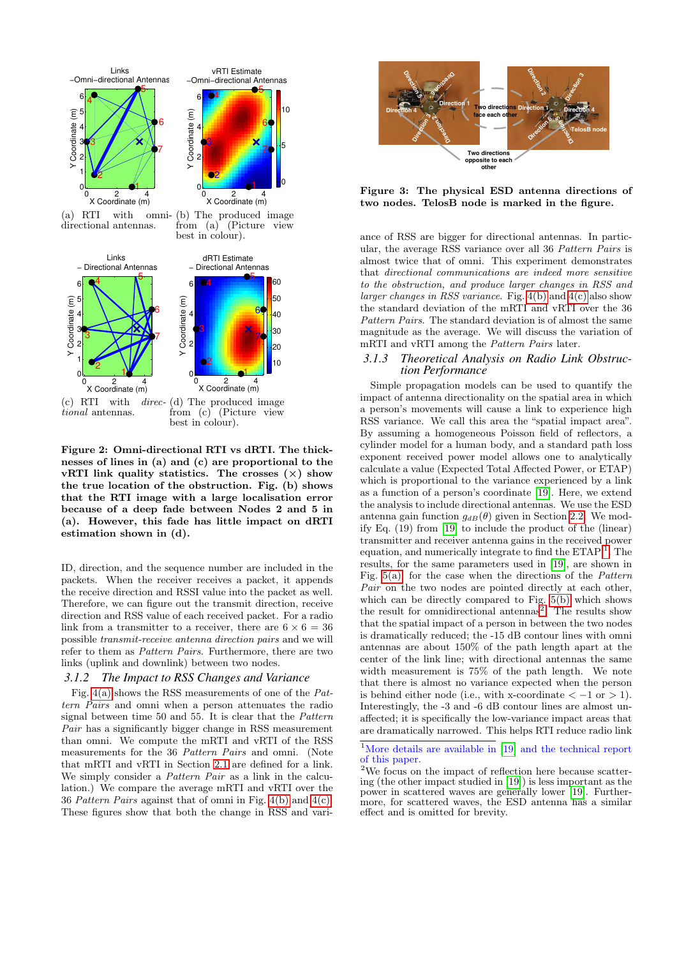<span id="page-3-4"></span><span id="page-3-3"></span>

<span id="page-3-2"></span>Figure 2: Omni-directional RTI vs dRTI. The thicknesses of lines in (a) and (c) are proportional to the vRTI link quality statistics. The crosses  $(\times)$  show the true location of the obstruction. Fig. (b) shows that the RTI image with a large localisation error because of a deep fade between Nodes 2 and 5 in (a). However, this fade has little impact on dRTI estimation shown in (d).

ID, direction, and the sequence number are included in the packets. When the receiver receives a packet, it appends the receive direction and RSSI value into the packet as well. Therefore, we can figure out the transmit direction, receive direction and RSS value of each received packet. For a radio link from a transmitter to a receiver, there are  $6 \times 6 = 36$ possible transmit-receive antenna direction pairs and we will refer to them as Pattern Pairs. Furthermore, there are two links (uplink and downlink) between two nodes.

#### *3.1.2 The Impact to RSS Changes and Variance*

Fig. [4\(a\)](#page-4-0) shows the RSS measurements of one of the Pattern Pairs and omni when a person attenuates the radio signal between time 50 and 55. It is clear that the Pattern Pair has a significantly bigger change in RSS measurement than omni. We compute the mRTI and vRTI of the RSS measurements for the 36 Pattern Pairs and omni. (Note that mRTI and vRTI in Section [2.1](#page-1-2) are defined for a link. We simply consider a *Pattern Pair* as a link in the calculation.) We compare the average mRTI and vRTI over the 36 Pattern Pairs against that of omni in Fig. [4\(b\)](#page-4-1) and [4\(c\).](#page-4-2) These figures show that both the change in RSS and vari-



<span id="page-3-5"></span><span id="page-3-1"></span>Figure 3: The physical ESD antenna directions of two nodes. TelosB node is marked in the figure.

ance of RSS are bigger for directional antennas. In particular, the average RSS variance over all 36 Pattern Pairs is almost twice that of omni. This experiment demonstrates that directional communications are indeed more sensitive to the obstruction, and produce larger changes in RSS and *larger changes in RSS variance.* Fig.  $4(b)$  and  $4(c)$  also show the standard deviation of the mRTI and vRTI over the 36 Pattern Pairs. The standard deviation is of almost the same magnitude as the average. We will discuss the variation of mRTI and vRTI among the Pattern Pairs later.

#### <span id="page-3-8"></span>*3.1.3 Theoretical Analysis on Radio Link Obstruction Performance*

<span id="page-3-0"></span>Simple propagation models can be used to quantify the impact of antenna directionality on the spatial area in which a person's movements will cause a link to experience high RSS variance. We call this area the "spatial impact area". By assuming a homogeneous Poisson field of reflectors, a cylinder model for a human body, and a standard path loss exponent received power model allows one to analytically calculate a value (Expected Total Affected Power, or ETAP) which is proportional to the variance experienced by a link as a function of a person's coordinate [\[19\]](#page-11-14). Here, we extend the analysis to include directional antennas. We use the ESD antenna gain function  $g_{dB}(\theta)$  given in Section [2.2.](#page-2-1) We modify Eq. (19) from [\[19\]](#page-11-14) to include the product of the (linear) transmitter and receiver antenna gains in the received power equation, and numerically integrate to find the ETAP  $^1$  $^1$ . The results, for the same parameters used in [\[19\]](#page-11-14), are shown in Fig.  $5(a)$ , for the case when the directions of the *Pattern* Pair on the two nodes are pointed directly at each other, which can be directly compared to Fig. [5\(b\)](#page-4-4) which shows the result for omnidirectional antennas<sup>[2](#page-3-7)</sup>. The results show that the spatial impact of a person in between the two nodes is dramatically reduced; the -15 dB contour lines with omni antennas are about 150% of the path length apart at the center of the link line; with directional antennas the same width measurement is 75% of the path length. We note that there is almost no variance expected when the person is behind either node (i.e., with x-coordinate  $<-1$  or  $>1$ ). Interestingly, the -3 and -6 dB contour lines are almost unaffected; it is specifically the low-variance impact areas that are dramatically narrowed. This helps RTI reduce radio link

<span id="page-3-6"></span><sup>&</sup>lt;sup>1</sup>More details are available in [\[19\]](#page-11-14) and the technical report of this paper.

<span id="page-3-7"></span> $2$ We focus on the impact of reflection here because scattering (the other impact studied in [\[19\]](#page-11-14)) is less important as the power in scattered waves are generally lower [\[19\]](#page-11-14). Furthermore, for scattered waves, the ESD antenna has a similar effect and is omitted for brevity.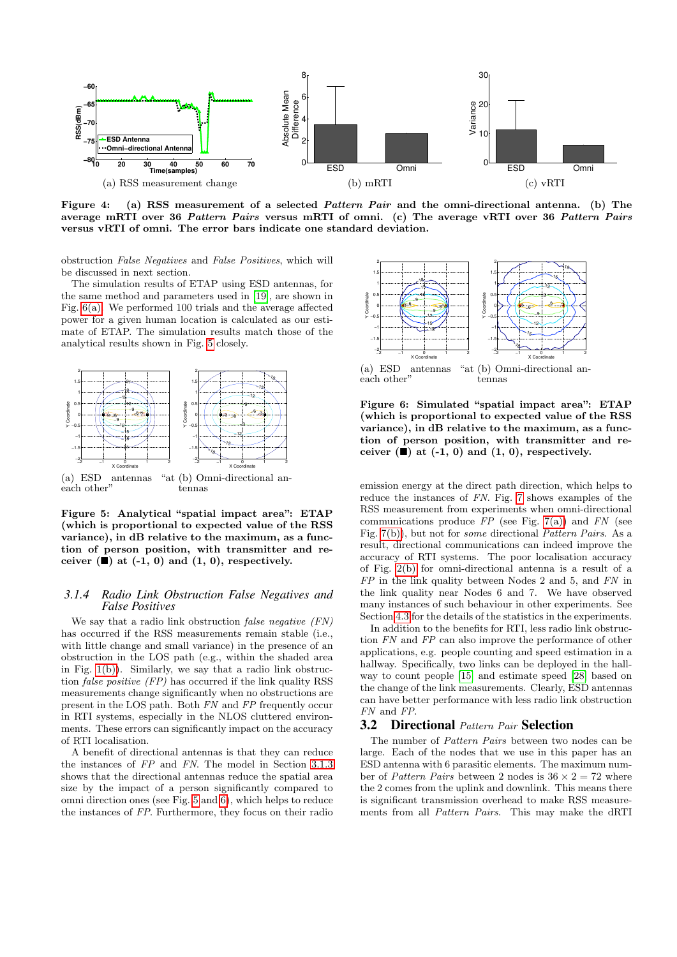<span id="page-4-0"></span>

Figure 4: (a) RSS measurement of a selected *Pattern Pair* and the omni-directional antenna. (b) The average mRTI over 36 Pattern Pairs versus mRTI of omni. (c) The average vRTI over 36 Pattern Pairs versus vRTI of omni. The error bars indicate one standard deviation.

obstruction False Negatives and False Positives, which will be discussed in next section.

The simulation results of ETAP using ESD antennas, for the same method and parameters used in [\[19\]](#page-11-14), are shown in Fig. [6\(a\).](#page-4-5) We performed 100 trials and the average affected power for a given human location is calculated as our estimate of ETAP. The simulation results match those of the analytical results shown in Fig. [5](#page-4-6) closely.

<span id="page-4-3"></span>

<span id="page-4-4"></span>Figure 5: Analytical "spatial impact area": ETAP (which is proportional to expected value of the RSS variance), in dB relative to the maximum, as a function of person position, with transmitter and receiver  $(\blacksquare)$  at  $(-1, 0)$  and  $(1, 0)$ , respectively.

#### <span id="page-4-8"></span>*3.1.4 Radio Link Obstruction False Negatives and False Positives*

We say that a radio link obstruction *false negative (FN)* has occurred if the RSS measurements remain stable (i.e., with little change and small variance) in the presence of an obstruction in the LOS path (e.g., within the shaded area in Fig.  $1(b)$ ). Similarly, we say that a radio link obstruction *false positive (FP)* has occurred if the link quality RSS measurements change significantly when no obstructions are present in the LOS path. Both FN and FP frequently occur in RTI systems, especially in the NLOS cluttered environments. These errors can significantly impact on the accuracy of RTI localisation.

A benefit of directional antennas is that they can reduce the instances of FP and FN. The model in Section [3.1.3](#page-3-8) shows that the directional antennas reduce the spatial area size by the impact of a person significantly compared to omni direction ones (see Fig. [5](#page-4-6) and [6\)](#page-4-7), which helps to reduce the instances of FP. Furthermore, they focus on their radio

<span id="page-4-5"></span><span id="page-4-2"></span><span id="page-4-1"></span>

<span id="page-4-7"></span>Figure 6: Simulated "spatial impact area": ETAP (which is proportional to expected value of the RSS

variance), in dB relative to the maximum, as a function of person position, with transmitter and receiver  $(\blacksquare)$  at  $(-1, 0)$  and  $(1, 0)$ , respectively.

<span id="page-4-6"></span>emission energy at the direct path direction, which helps to reduce the instances of FN. Fig. [7](#page-5-0) shows examples of the RSS measurement from experiments when omni-directional communications produce  $\overline{FP}$  (see Fig. [7\(a\)\)](#page-5-1) and  $\overline{FN}$  (see Fig. [7\(b\)\)](#page-5-2), but not for some directional Pattern Pairs. As a result, directional communications can indeed improve the accuracy of RTI systems. The poor localisation accuracy of Fig. [2\(b\)](#page-3-1) for omni-directional antenna is a result of a FP in the link quality between Nodes 2 and 5, and FN in the link quality near Nodes 6 and 7. We have observed many instances of such behaviour in other experiments. See Section [4.3](#page-7-0) for the details of the statistics in the experiments.

In addition to the benefits for RTI, less radio link obstruction FN and FP can also improve the performance of other applications, e.g. people counting and speed estimation in a hallway. Specifically, two links can be deployed in the hallway to count people [\[15\]](#page-11-15) and estimate speed [\[28\]](#page-11-16) based on the change of the link measurements. Clearly, ESD antennas can have better performance with less radio link obstruction FN and FP.

### <span id="page-4-9"></span>3.2 Directional Pattern Pair Selection

The number of Pattern Pairs between two nodes can be large. Each of the nodes that we use in this paper has an ESD antenna with 6 parasitic elements. The maximum number of Pattern Pairs between 2 nodes is  $36 \times 2 = 72$  where the 2 comes from the uplink and downlink. This means there is significant transmission overhead to make RSS measurements from all Pattern Pairs. This may make the dRTI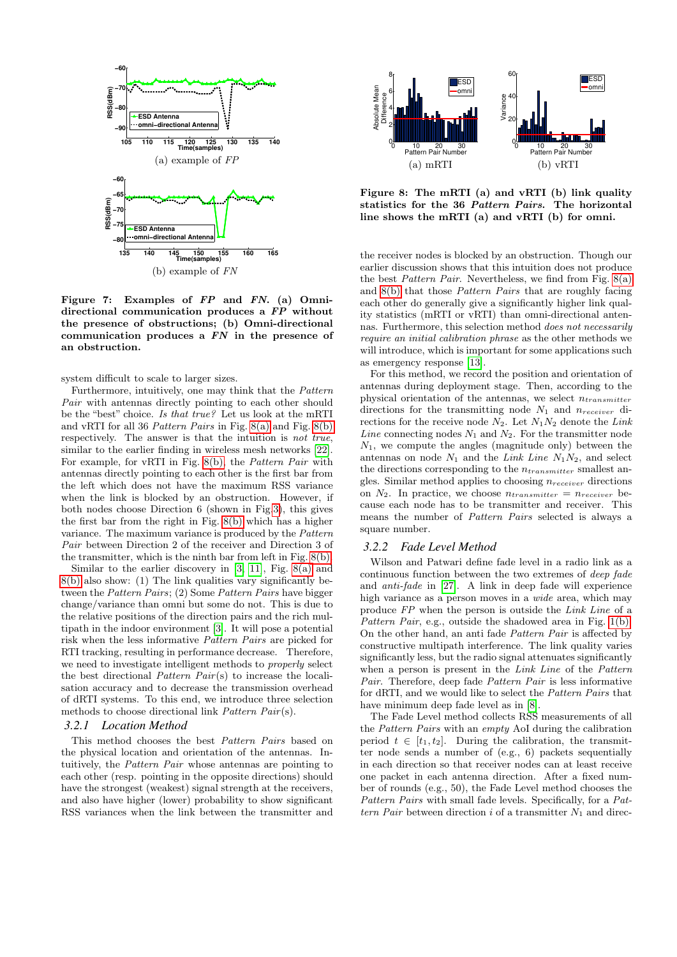<span id="page-5-1"></span>

<span id="page-5-2"></span>Figure 7: Examples of FP and FN. (a) Omnidirectional communication produces a FP without the presence of obstructions; (b) Omni-directional communication produces a FN in the presence of an obstruction.

system difficult to scale to larger sizes.

Furthermore, intuitively, one may think that the Pattern Pair with antennas directly pointing to each other should be the "best" choice. Is that true? Let us look at the mRTI and vRTI for all 36 Pattern Pairs in Fig. [8\(a\)](#page-5-3) and Fig. [8\(b\)](#page-5-4) respectively. The answer is that the intuition is not true, similar to the earlier finding in wireless mesh networks [\[22\]](#page-11-17). For example, for vRTI in Fig. [8\(b\),](#page-5-4) the Pattern Pair with antennas directly pointing to each other is the first bar from the left which does not have the maximum RSS variance when the link is blocked by an obstruction. However, if both nodes choose Direction 6 (shown in Fig[.3\)](#page-3-5), this gives the first bar from the right in Fig. [8\(b\)](#page-5-4) which has a higher variance. The maximum variance is produced by the Pattern Pair between Direction 2 of the receiver and Direction 3 of the transmitter, which is the ninth bar from left in Fig. [8\(b\).](#page-5-4)

Similar to the earlier discovery in [\[3,](#page-11-5) [11\]](#page-11-18), Fig. [8\(a\)](#page-5-3) and [8\(b\)](#page-5-4) also show: (1) The link qualities vary significantly between the Pattern Pairs; (2) Some Pattern Pairs have bigger change/variance than omni but some do not. This is due to the relative positions of the direction pairs and the rich multipath in the indoor environment [\[3\]](#page-11-5). It will pose a potential risk when the less informative Pattern Pairs are picked for RTI tracking, resulting in performance decrease. Therefore, we need to investigate intelligent methods to properly select the best directional Pattern Pair (s) to increase the localisation accuracy and to decrease the transmission overhead of dRTI systems. To this end, we introduce three selection methods to choose directional link *Pattern Pair*(s).

#### *3.2.1 Location Method*

This method chooses the best Pattern Pairs based on the physical location and orientation of the antennas. Intuitively, the Pattern Pair whose antennas are pointing to each other (resp. pointing in the opposite directions) should have the strongest (weakest) signal strength at the receivers, and also have higher (lower) probability to show significant RSS variances when the link between the transmitter and

<span id="page-5-3"></span>

<span id="page-5-5"></span><span id="page-5-4"></span>Figure 8: The mRTI (a) and vRTI (b) link quality statistics for the 36 Pattern Pairs. The horizontal line shows the mRTI (a) and vRTI (b) for omni.

<span id="page-5-0"></span>the receiver nodes is blocked by an obstruction. Though our earlier discussion shows that this intuition does not produce the best Pattern Pair. Nevertheless, we find from Fig. [8\(a\)](#page-5-3) and [8\(b\)](#page-5-4) that those Pattern Pairs that are roughly facing each other do generally give a significantly higher link quality statistics (mRTI or vRTI) than omni-directional antennas. Furthermore, this selection method does not necessarily require an initial calibration phrase as the other methods we will introduce, which is important for some applications such as emergency response [\[13\]](#page-11-11).

For this method, we record the position and orientation of antennas during deployment stage. Then, according to the physical orientation of the antennas, we select  $n_{transmitter}$ directions for the transmitting node  $N_1$  and  $n_{receiver}$  directions for the receive node  $N_2$ . Let  $N_1N_2$  denote the Link Line connecting nodes  $N_1$  and  $N_2$ . For the transmitter node  $N_1$ , we compute the angles (magnitude only) between the antennas on node  $N_1$  and the Link Line  $N_1N_2$ , and select the directions corresponding to the  $n_{transmitter}$  smallest angles. Similar method applies to choosing  $n_{receiver}$  directions on  $N_2$ . In practice, we choose  $n_{transmitter} = n_{receiver}$  because each node has to be transmitter and receiver. This means the number of Pattern Pairs selected is always a square number.

#### <span id="page-5-6"></span>*3.2.2 Fade Level Method*

Wilson and Patwari define fade level in a radio link as a continuous function between the two extremes of deep fade and anti-fade in [\[27\]](#page-11-19). A link in deep fade will experience high variance as a person moves in a *wide* area, which may produce FP when the person is outside the Link Line of a Pattern Pair, e.g., outside the shadowed area in Fig. [1\(b\).](#page-0-1) On the other hand, an anti fade Pattern Pair is affected by constructive multipath interference. The link quality varies significantly less, but the radio signal attenuates significantly when a person is present in the Link Line of the Pattern Pair. Therefore, deep fade Pattern Pair is less informative for dRTI, and we would like to select the Pattern Pairs that have minimum deep fade level as in [\[8\]](#page-11-9).

The Fade Level method collects RSS measurements of all the Pattern Pairs with an empty AoI during the calibration period  $t \in [t_1, t_2]$ . During the calibration, the transmitter node sends a number of (e.g., 6) packets sequentially in each direction so that receiver nodes can at least receive one packet in each antenna direction. After a fixed number of rounds (e.g., 50), the Fade Level method chooses the Pattern Pairs with small fade levels. Specifically, for a Pattern Pair between direction  $i$  of a transmitter  $N_1$  and direc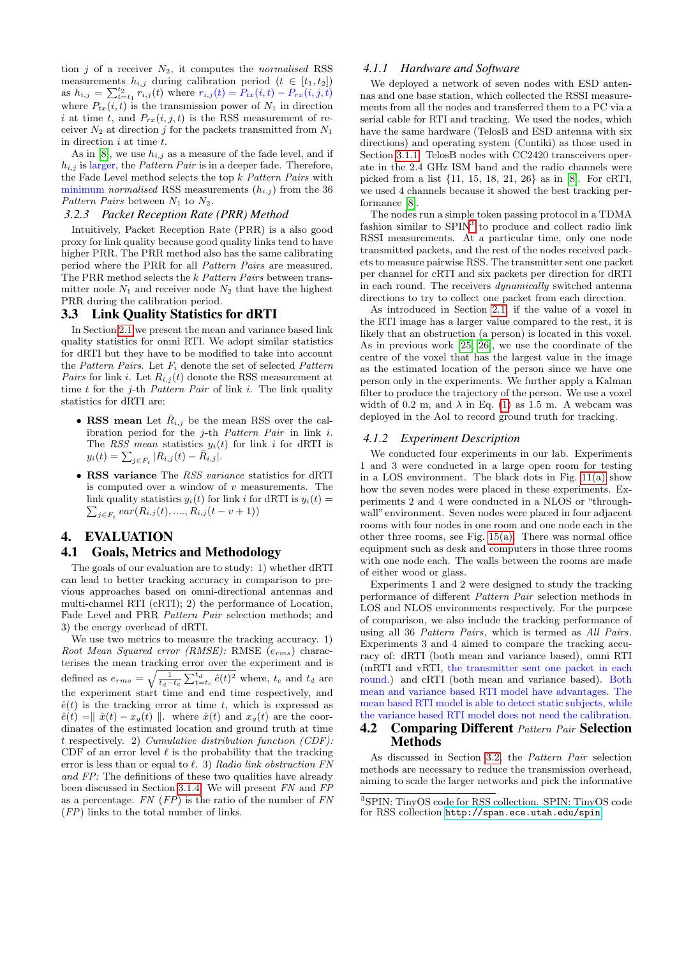tion j of a receiver  $N_2$ , it computes the normalised RSS measurements  $h_{i,j}$  during calibration period  $(t \in [t_1, t_2])$ as  $h_{i,j} = \sum_{t=t_1}^{t_2} r_{i,j}(t)$  where  $r_{i,j}(t) = P_{tx}(i, t) - P_{rx}(i, j, t)$ where  $P_{tx}$  $(i, t)$  is the transmission power of  $N_1$  in direction i at time t, and  $P_{rx}(i, j, t)$  is the RSS measurement of receiver  $N_2$  at direction j for the packets transmitted from  $N_1$ in direction  $i$  at time  $t$ .

As in  $[8]$ , we use  $h_{i,j}$  as a measure of the fade level, and if  $h_{i,j}$  is larger, the *Pattern Pair* is in a deeper fade. Therefore, the Fade Level method selects the top k Pattern Pairs with minimum normalised RSS measurements  $(h_{i,j})$  from the 36 Pattern Pairs between  $N_1$  to  $N_2$ .

#### *3.2.3 Packet Reception Rate (PRR) Method*

Intuitively, Packet Reception Rate (PRR) is a also good proxy for link quality because good quality links tend to have higher PRR. The PRR method also has the same calibrating period where the PRR for all Pattern Pairs are measured. The PRR method selects the k Pattern Pairs between transmitter node  $N_1$  and receiver node  $N_2$  that have the highest PRR during the calibration period.

#### 3.3 Link Quality Statistics for dRTI

In Section [2.1](#page-1-2) we present the mean and variance based link quality statistics for omni RTI. We adopt similar statistics for dRTI but they have to be modified to take into account the Pattern Pairs. Let  $F_i$  denote the set of selected Pattern Pairs for link i. Let  $R_{i,j}(t)$  denote the RSS measurement at time  $t$  for the j-th *Pattern Pair* of link i. The link quality statistics for dRTI are:

- RSS mean Let  $\bar{R}_{i,j}$  be the mean RSS over the calibration period for the j-th Pattern Pair in link i. The RSS mean statistics  $y_i(t)$  for link i for dRTI is  $y_i(t) = \sum_{j \in F_i} |R_{i,j}(t) - \bar{R}_{i,j}|.$
- RSS variance The RSS variance statistics for dRTI is computed over a window of  $v$  measurements. The  $\sum_{j \in F_i} var(R_{i,j}(t), ..., R_{i,j}(t-v+1))$ link quality statistics  $y_i(t)$  for link i for dRTI is  $y_i(t)$  =

#### <span id="page-6-0"></span>4. EVALUATION

#### 4.1 Goals, Metrics and Methodology

The goals of our evaluation are to study: 1) whether dRTI can lead to better tracking accuracy in comparison to previous approaches based on omni-directional antennas and multi-channel RTI (cRTI); 2) the performance of Location, Fade Level and PRR Pattern Pair selection methods; and 3) the energy overhead of dRTI.

We use two metrics to measure the tracking accuracy. 1) Root Mean Squared error (RMSE): RMSE  $(e_{rms})$  characterises the mean tracking error over the experiment and is defined as  $e_{rms} = \sqrt{\frac{1}{t_d-t_c} \sum_{t=t_c}^{t_d} \hat{e}(t)^2}$  where,  $t_c$  and  $t_d$  are the experiment start time and end time respectively, and  $\hat{e}(t)$  is the tracking error at time t, which is expressed as  $\hat{e}(t) = \hat{x}(t) - x_q(t)$ . where  $\hat{x}(t)$  and  $x_q(t)$  are the coordinates of the estimated location and ground truth at time t respectively. 2) Cumulative distribution function (CDF): CDF of an error level  $\ell$  is the probability that the tracking error is less than or equal to  $\ell$ . 3) Radio link obstruction FN and FP: The definitions of these two qualities have already been discussed in Section [3.1.4.](#page-4-8) We will present FN and FP as a percentage.  $FN$   $(FP)$  is the ratio of the number of  $FN$ (FP) links to the total number of links.

#### *4.1.1 Hardware and Software*

We deployed a network of seven nodes with ESD antennas and one base station, which collected the RSSI measurements from all the nodes and transferred them to a PC via a serial cable for RTI and tracking. We used the nodes, which have the same hardware (TelosB and ESD antenna with six directions) and operating system (Contiki) as those used in Section [3.1.1.](#page-2-2) TelosB nodes with CC2420 transceivers operate in the 2.4 GHz ISM band and the radio channels were picked from a list {11, 15, 18, 21, 26} as in [\[8\]](#page-11-9). For cRTI, we used 4 channels because it showed the best tracking performance [\[8\]](#page-11-9).

The nodes run a simple token passing protocol in a TDMA fashion similar to SPIN<sup>[3](#page-6-1)</sup> to produce and collect radio link RSSI measurements. At a particular time, only one node transmitted packets, and the rest of the nodes received packets to measure pairwise RSS. The transmitter sent one packet per channel for cRTI and six packets per direction for dRTI in each round. The receivers dynamically switched antenna directions to try to collect one packet from each direction.

As introduced in Section [2.1,](#page-1-2) if the value of a voxel in the RTI image has a larger value compared to the rest, it is likely that an obstruction (a person) is located in this voxel. As in previous work [\[25,](#page-11-0) [26\]](#page-11-1), we use the coordinate of the centre of the voxel that has the largest value in the image as the estimated location of the person since we have one person only in the experiments. We further apply a Kalman filter to produce the trajectory of the person. We use a voxel width of 0.2 m, and  $\lambda$  in Eq. [\(1\)](#page-2-3) as 1.5 m. A webcam was deployed in the AoI to record ground truth for tracking.

#### *4.1.2 Experiment Description*

We conducted four experiments in our lab. Experiments 1 and 3 were conducted in a large open room for testing in a LOS environment. The black dots in Fig. [11\(a\)](#page-8-0) show how the seven nodes were placed in these experiments. Experiments 2 and 4 were conducted in a NLOS or "throughwall" environment. Seven nodes were placed in four adjacent rooms with four nodes in one room and one node each in the other three rooms, see Fig. [15\(a\).](#page-9-0) There was normal office equipment such as desk and computers in those three rooms with one node each. The walls between the rooms are made of either wood or glass.

Experiments 1 and 2 were designed to study the tracking performance of different Pattern Pair selection methods in LOS and NLOS environments respectively. For the purpose of comparison, we also include the tracking performance of using all 36 Pattern Pairs, which is termed as All Pairs. Experiments 3 and 4 aimed to compare the tracking accuracy of: dRTI (both mean and variance based), omni RTI (mRTI and vRTI, the transmitter sent one packet in each round.) and cRTI (both mean and variance based). Both mean and variance based RTI model have advantages. The mean based RTI model is able to detect static subjects, while the variance based RTI model does not need the calibration.

### <span id="page-6-2"></span>4.2 Comparing Different Pattern Pair Selection Methods

As discussed in Section [3.2,](#page-4-9) the Pattern Pair selection methods are necessary to reduce the transmission overhead, aiming to scale the larger networks and pick the informative

<span id="page-6-1"></span><sup>3</sup>SPIN: TinyOS code for RSS collection. SPIN: TinyOS code for RSS collection <http://span.ece.utah.edu/spin>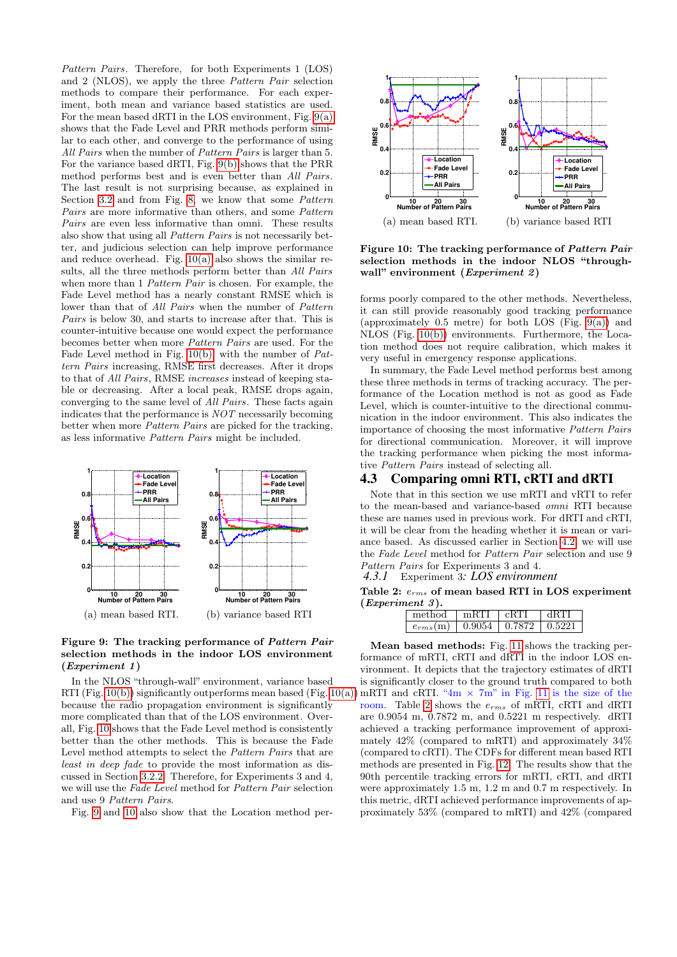Pattern Pairs. Therefore, for both Experiments 1 (LOS) and 2 (NLOS), we apply the three Pattern Pair selection methods to compare their performance. For each experiment, both mean and variance based statistics are used. For the mean based dRTI in the LOS environment, Fig. [9\(a\)](#page-7-1) shows that the Fade Level and PRR methods perform similar to each other, and converge to the performance of using All Pairs when the number of Pattern Pairs is larger than 5. For the variance based dRTI, Fig. [9\(b\)](#page-7-2) shows that the PRR method performs best and is even better than All Pairs. The last result is not surprising because, as explained in Section [3.2](#page-4-9) and from Fig. [8,](#page-5-5) we know that some Pattern Pairs are more informative than others, and some Pattern Pairs are even less informative than omni. These results also show that using all Pattern Pairs is not necessarily better, and judicious selection can help improve performance and reduce overhead. Fig. [10\(a\)](#page-7-3) also shows the similar results, all the three methods perform better than All Pairs when more than 1 Pattern Pair is chosen. For example, the Fade Level method has a nearly constant RMSE which is lower than that of All Pairs when the number of Pattern Pairs is below 30, and starts to increase after that. This is counter-intuitive because one would expect the performance becomes better when more Pattern Pairs are used. For the Fade Level method in Fig. [10\(b\),](#page-7-4) with the number of Pattern Pairs increasing, RMSE first decreases. After it drops to that of All Pairs, RMSE increases instead of keeping stable or decreasing. After a local peak, RMSE drops again, converging to the same level of All Pairs. These facts again indicates that the performance is NOT necessarily becoming better when more Pattern Pairs are picked for the tracking, as less informative Pattern Pairs might be included.

<span id="page-7-1"></span>

#### <span id="page-7-2"></span>Figure 9: The tracking performance of Pattern Pair selection methods in the indoor LOS environment (Experiment 1)

In the NLOS "through-wall" environment, variance based RTI (Fig. [10\(b\)\)](#page-7-4) significantly outperforms mean based (Fig. [10\(a\)\)](#page-7-3) because the radio propagation environment is significantly more complicated than that of the LOS environment. Overall, Fig. [10](#page-7-5) shows that the Fade Level method is consistently better than the other methods. This is because the Fade Level method attempts to select the Pattern Pairs that are least in deep fade to provide the most information as discussed in Section [3.2.2.](#page-5-6) Therefore, for Experiments 3 and 4, we will use the Fade Level method for Pattern Pair selection and use 9 Pattern Pairs.

Fig. [9](#page-7-6) and [10](#page-7-5) also show that the Location method per-

<span id="page-7-3"></span>

<span id="page-7-5"></span><span id="page-7-4"></span>Figure 10: The tracking performance of Pattern Pair selection methods in the indoor NLOS "throughwall" environment (Experiment 2)

forms poorly compared to the other methods. Nevertheless, it can still provide reasonably good tracking performance (approximately 0.5 metre) for both LOS (Fig. [9\(a\)\)](#page-7-1) and NLOS (Fig. [10\(b\)\)](#page-7-4) environments. Furthermore, the Location method does not require calibration, which makes it very useful in emergency response applications.

In summary, the Fade Level method performs best among these three methods in terms of tracking accuracy. The performance of the Location method is not as good as Fade Level, which is counter-intuitive to the directional communication in the indoor environment. This also indicates the importance of choosing the most informative Pattern Pairs for directional communication. Moreover, it will improve the tracking performance when picking the most informative Pattern Pairs instead of selecting all.

# <span id="page-7-0"></span>4.3 Comparing omni RTI, cRTI and dRTI

Note that in this section we use mRTI and vRTI to refer to the mean-based and variance-based omni RTI because these are names used in previous work. For dRTI and cRTI, it will be clear from the heading whether it is mean or variance based. As discussed earlier in Section [4.2,](#page-6-2) we will use the Fade Level method for Pattern Pair selection and use 9 Pattern Pairs for Experiments 3 and 4.

<span id="page-7-8"></span><span id="page-7-7"></span>*4.3.1* Experiment 3*: LOS environment*

<span id="page-7-6"></span>Table 2: erms of mean based RTI in LOS experiment (Experiment 3).

|            | ĸ      |                        |
|------------|--------|------------------------|
| $\sqrt{m}$ | በ 7879 | $\mathbf{u}$<br>ト・ハ・ノー |

Mean based methods: Fig. [11](#page-8-1) shows the tracking performance of mRTI, cRTI and dRTI in the indoor LOS environment. It depicts that the trajectory estimates of dRTI is significantly closer to the ground truth compared to both mRTI and cRTI. " $4m \times 7m$ " in Fig. [11](#page-8-1) is the size of the room. Table [2](#page-7-7) shows the  $e_{rms}$  of mRTI, cRTI and dRTI are 0.9054 m, 0.7872 m, and 0.5221 m respectively. dRTI achieved a tracking performance improvement of approximately 42% (compared to mRTI) and approximately 34% (compared to cRTI). The CDFs for different mean based RTI methods are presented in Fig. [12.](#page-8-2) The results show that the 90th percentile tracking errors for mRTI, cRTI, and dRTI were approximately 1.5 m, 1.2 m and 0.7 m respectively. In this metric, dRTI achieved performance improvements of approximately 53% (compared to mRTI) and 42% (compared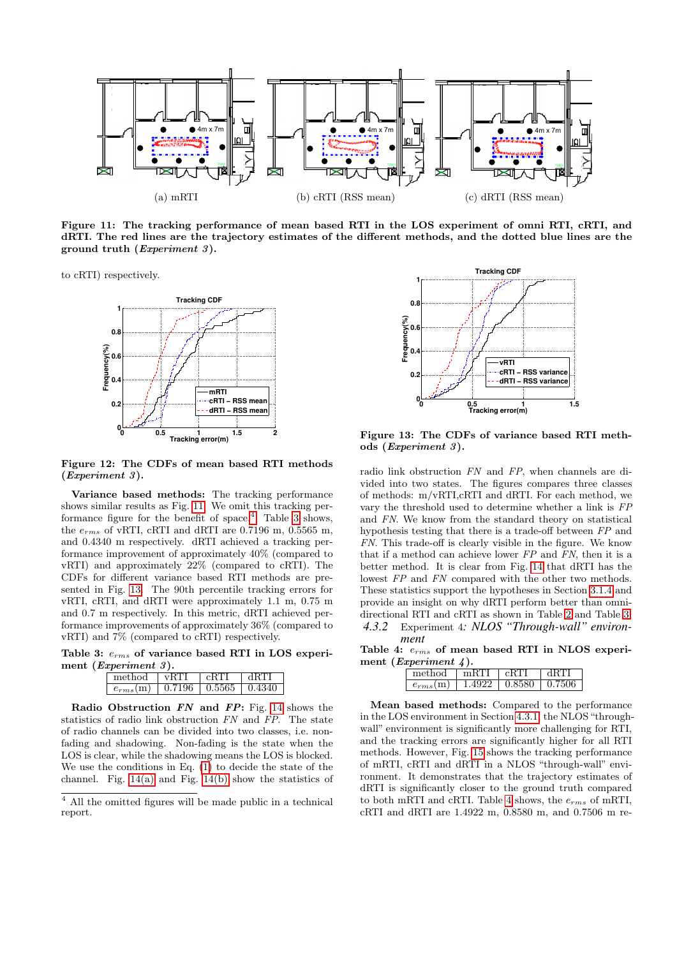<span id="page-8-0"></span>

Figure 11: The tracking performance of mean based RTI in the LOS experiment of omni RTI, cRTI, and dRTI. The red lines are the trajectory estimates of the different methods, and the dotted blue lines are the ground truth (Experiment 3).

to cRTI) respectively.



Figure 12: The CDFs of mean based RTI methods (Experiment 3).

Variance based methods: The tracking performance shows similar results as Fig. [11.](#page-8-1) We omit this tracking per-formance figure for the benefit of space.<sup>[4](#page-8-3)</sup> Table [3](#page-8-4) shows, the  $e_{rms}$  of vRTI, cRTI and dRTI are 0.7196 m, 0.5565 m, and 0.4340 m respectively. dRTI achieved a tracking performance improvement of approximately 40% (compared to vRTI) and approximately 22% (compared to cRTI). The CDFs for different variance based RTI methods are presented in Fig. [13.](#page-8-5) The 90th percentile tracking errors for vRTI, cRTI, and dRTI were approximately 1.1 m, 0.75 m and 0.7 m respectively. In this metric, dRTI achieved performance improvements of approximately 36% (compared to vRTI) and 7% (compared to cRTI) respectively.

<span id="page-8-4"></span>Table 3:  $e_{rms}$  of variance based RTI in LOS experiment (Experiment 3).

| method   vRTI                           |  | ∣ cRTI | - EdRTI |
|-----------------------------------------|--|--------|---------|
| $e_{rms}(m)$   0.7196   0.5565   0.4340 |  |        |         |

Radio Obstruction FN and FP: Fig. [14](#page-9-1) shows the statistics of radio link obstruction FN and FP. The state of radio channels can be divided into two classes, i.e. nonfading and shadowing. Non-fading is the state when the LOS is clear, while the shadowing means the LOS is blocked. We use the conditions in Eq. [\(1\)](#page-2-3) to decide the state of the channel. Fig.  $14(a)$  and Fig.  $14(b)$  show the statistics of

<span id="page-8-1"></span>

<span id="page-8-5"></span><span id="page-8-2"></span>Figure 13: The CDFs of variance based RTI methods (Experiment 3).

radio link obstruction FN and FP, when channels are divided into two states. The figures compares three classes of methods: m/vRTI,cRTI and dRTI. For each method, we vary the threshold used to determine whether a link is FP and FN. We know from the standard theory on statistical hypothesis testing that there is a trade-off between FP and FN. This trade-off is clearly visible in the figure. We know that if a method can achieve lower  $FP$  and  $FN$ , then it is a better method. It is clear from Fig. [14](#page-9-1) that dRTI has the lowest FP and FN compared with the other two methods. These statistics support the hypotheses in Section [3.1.4](#page-4-8) and provide an insight on why dRTI perform better than omnidirectional RTI and cRTI as shown in Table [2](#page-7-7) and Table [3.](#page-8-4) *4.3.2* Experiment 4*: NLOS "Through-wall" environ-*

<span id="page-8-6"></span>Table 4: erms of mean based RTI in NLOS experiment (Experiment 4).

*ment*

| method              | l mRTI | ∣ cRTI |           |
|---------------------|--------|--------|-----------|
| $e_{rms}$ ( $\rm m$ | 1.4922 | 0.8580 | T () 7506 |

Mean based methods: Compared to the performance in the LOS environment in Section [4.3.1,](#page-7-8) the NLOS"throughwall" environment is significantly more challenging for RTI, and the tracking errors are significantly higher for all RTI methods. However, Fig. [15](#page-9-4) shows the tracking performance of mRTI, cRTI and dRTI in a NLOS "through-wall" environment. It demonstrates that the trajectory estimates of dRTI is significantly closer to the ground truth compared to both mRTI and cRTI. Table [4](#page-8-6) shows, the  $e_{rms}$  of mRTI, cRTI and dRTI are 1.4922 m, 0.8580 m, and 0.7506 m re-

<span id="page-8-3"></span><sup>4</sup> All the omitted figures will be made public in a technical report.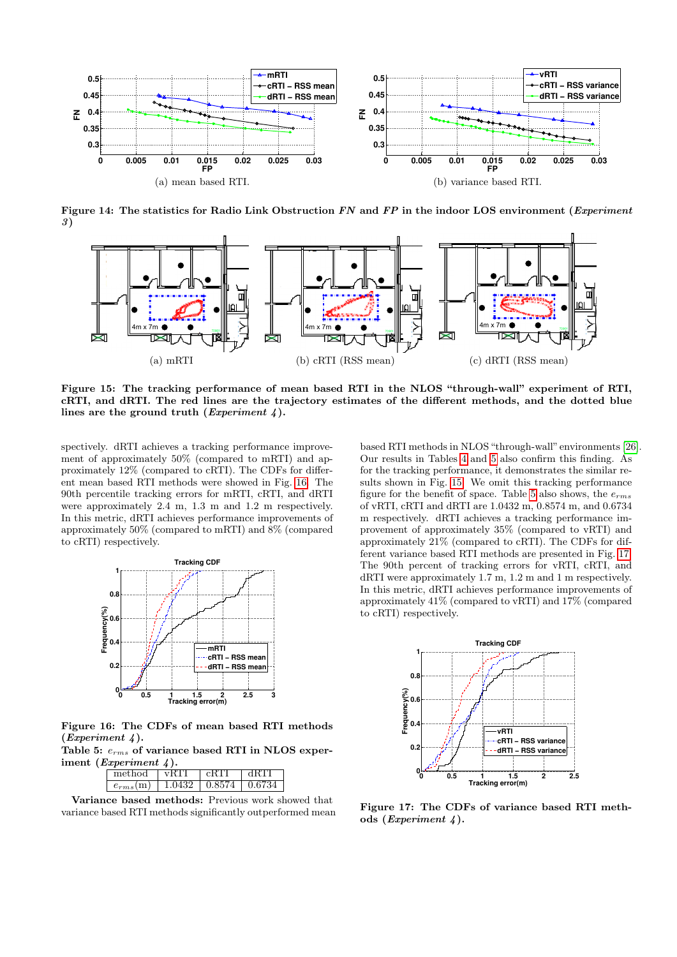<span id="page-9-2"></span>

Figure 14: The statistics for Radio Link Obstruction FN and FP in the indoor LOS environment (Experiment 3)

<span id="page-9-3"></span><span id="page-9-0"></span>

Figure 15: The tracking performance of mean based RTI in the NLOS "through-wall" experiment of RTI, cRTI, and dRTI. The red lines are the trajectory estimates of the different methods, and the dotted blue lines are the ground truth (*Experiment*  $4$ ).

spectively. dRTI achieves a tracking performance improvement of approximately 50% (compared to mRTI) and approximately 12% (compared to cRTI). The CDFs for different mean based RTI methods were showed in Fig. [16.](#page-9-5) The 90th percentile tracking errors for mRTI, cRTI, and dRTI were approximately 2.4 m, 1.3 m and 1.2 m respectively. In this metric, dRTI achieves performance improvements of approximately 50% (compared to mRTI) and 8% (compared to cRTI) respectively.



Figure 16: The CDFs of mean based RTI methods (Experiment 4).

<span id="page-9-6"></span>Table 5:  $e_{rms}$  of variance based RTI in NLOS experiment (Experiment 4).

|  |            | ĸ                                                                                                                                                                                                                                                                                                                                                                                                                                             |  |
|--|------------|-----------------------------------------------------------------------------------------------------------------------------------------------------------------------------------------------------------------------------------------------------------------------------------------------------------------------------------------------------------------------------------------------------------------------------------------------|--|
|  | ົດ<br>14 K | $\overline{ }$ $\overline{ }$ $\overline{ }$ $\overline{ }$ $\overline{ }$ $\overline{ }$ $\overline{ }$ $\overline{ }$ $\overline{ }$ $\overline{ }$ $\overline{ }$ $\overline{ }$ $\overline{ }$ $\overline{ }$ $\overline{ }$ $\overline{ }$ $\overline{ }$ $\overline{ }$ $\overline{ }$ $\overline{ }$ $\overline{ }$ $\overline{ }$ $\overline{ }$ $\overline{ }$ $\overline{ }$ $\overline{ }$ $\overline{ }$ $\overline{$<br>$\times$ |  |

Variance based methods: Previous work showed that variance based RTI methods significantly outperformed mean

<span id="page-9-4"></span><span id="page-9-1"></span>based RTI methods in NLOS"through-wall"environments [\[26\]](#page-11-1). Our results in Tables [4](#page-8-6) and [5](#page-9-6) also confirm this finding. As for the tracking performance, it demonstrates the similar results shown in Fig. [15.](#page-9-4) We omit this tracking performance figure for the benefit of space. Table [5](#page-9-6) also shows, the  $e_{rms}$ of vRTI, cRTI and dRTI are 1.0432 m, 0.8574 m, and 0.6734 m respectively. dRTI achieves a tracking performance improvement of approximately 35% (compared to vRTI) and approximately 21% (compared to cRTI). The CDFs for different variance based RTI methods are presented in Fig. [17.](#page-9-7) The 90th percent of tracking errors for vRTI, cRTI, and dRTI were approximately 1.7 m, 1.2 m and 1 m respectively. In this metric, dRTI achieves performance improvements of approximately 41% (compared to vRTI) and 17% (compared to cRTI) respectively.

<span id="page-9-5"></span>

<span id="page-9-7"></span>Figure 17: The CDFs of variance based RTI methods (Experiment 4).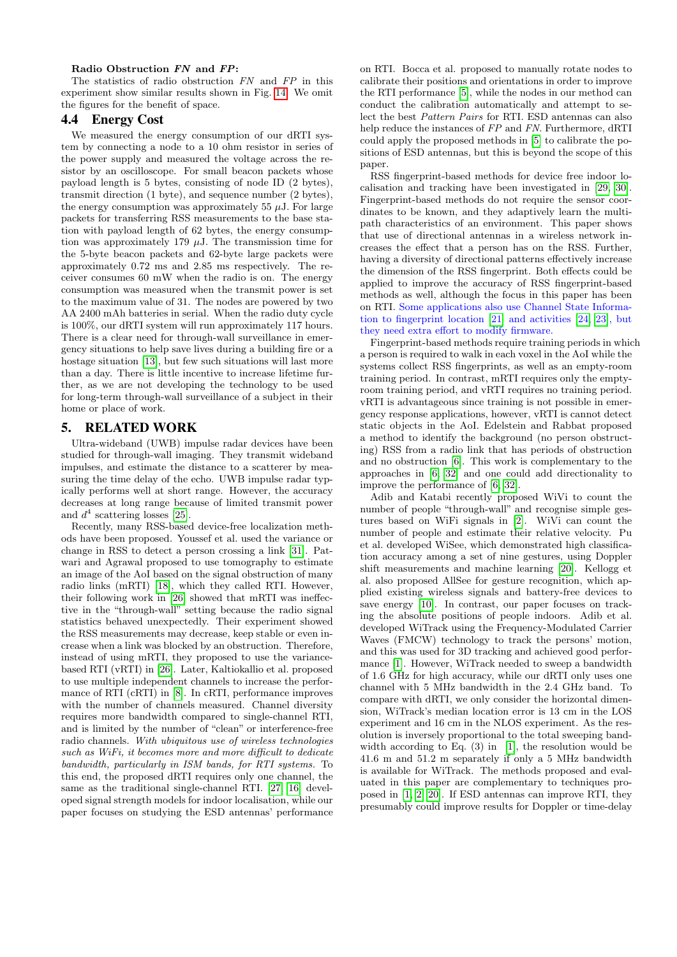#### Radio Obstruction FN and FP:

The statistics of radio obstruction FN and FP in this experiment show similar results shown in Fig. [14.](#page-9-1) We omit the figures for the benefit of space.

# 4.4 Energy Cost

We measured the energy consumption of our dRTI system by connecting a node to a 10 ohm resistor in series of the power supply and measured the voltage across the resistor by an oscilloscope. For small beacon packets whose payload length is 5 bytes, consisting of node ID (2 bytes), transmit direction (1 byte), and sequence number (2 bytes), the energy consumption was approximately 55  $\mu$ J. For large packets for transferring RSS measurements to the base station with payload length of 62 bytes, the energy consumption was approximately 179  $\mu$ J. The transmission time for the 5-byte beacon packets and 62-byte large packets were approximately 0.72 ms and 2.85 ms respectively. The receiver consumes 60 mW when the radio is on. The energy consumption was measured when the transmit power is set to the maximum value of 31. The nodes are powered by two AA 2400 mAh batteries in serial. When the radio duty cycle is 100%, our dRTI system will run approximately 117 hours. There is a clear need for through-wall surveillance in emergency situations to help save lives during a building fire or a hostage situation [\[13\]](#page-11-11), but few such situations will last more than a day. There is little incentive to increase lifetime further, as we are not developing the technology to be used for long-term through-wall surveillance of a subject in their home or place of work.

# <span id="page-10-0"></span>5. RELATED WORK

Ultra-wideband (UWB) impulse radar devices have been studied for through-wall imaging. They transmit wideband impulses, and estimate the distance to a scatterer by measuring the time delay of the echo. UWB impulse radar typically performs well at short range. However, the accuracy decreases at long range because of limited transmit power and  $d^4$  scattering losses [\[25\]](#page-11-0).

Recently, many RSS-based device-free localization methods have been proposed. Youssef et al. used the variance or change in RSS to detect a person crossing a link [\[31\]](#page-11-2). Patwari and Agrawal proposed to use tomography to estimate an image of the AoI based on the signal obstruction of many radio links (mRTI) [\[18\]](#page-11-20), which they called RTI. However, their following work in [\[26\]](#page-11-1) showed that mRTI was ineffective in the "through-wall" setting because the radio signal statistics behaved unexpectedly. Their experiment showed the RSS measurements may decrease, keep stable or even increase when a link was blocked by an obstruction. Therefore, instead of using mRTI, they proposed to use the variancebased RTI (vRTI) in [\[26\]](#page-11-1). Later, Kaltiokallio et al. proposed to use multiple independent channels to increase the performance of RTI (cRTI) in [\[8\]](#page-11-9). In cRTI, performance improves with the number of channels measured. Channel diversity requires more bandwidth compared to single-channel RTI, and is limited by the number of "clean" or interference-free radio channels. With ubiquitous use of wireless technologies such as WiFi, it becomes more and more difficult to dedicate bandwidth, particularly in ISM bands, for RTI systems. To this end, the proposed dRTI requires only one channel, the same as the traditional single-channel RTI. [\[27,](#page-11-19) [16\]](#page-11-21) developed signal strength models for indoor localisation, while our paper focuses on studying the ESD antennas' performance

on RTI. Bocca et al. proposed to manually rotate nodes to calibrate their positions and orientations in order to improve the RTI performance [\[5\]](#page-11-22), while the nodes in our method can conduct the calibration automatically and attempt to select the best Pattern Pairs for RTI. ESD antennas can also help reduce the instances of FP and FN. Furthermore, dRTI could apply the proposed methods in [\[5\]](#page-11-22) to calibrate the positions of ESD antennas, but this is beyond the scope of this paper.

RSS fingerprint-based methods for device free indoor localisation and tracking have been investigated in [\[29,](#page-11-23) [30\]](#page-11-24). Fingerprint-based methods do not require the sensor coordinates to be known, and they adaptively learn the multipath characteristics of an environment. This paper shows that use of directional antennas in a wireless network increases the effect that a person has on the RSS. Further, having a diversity of directional patterns effectively increase the dimension of the RSS fingerprint. Both effects could be applied to improve the accuracy of RSS fingerprint-based methods as well, although the focus in this paper has been on RTI. Some applications also use Channel State Information to fingerprint location [\[21\]](#page-11-25) and activities [\[24,](#page-11-26) [23\]](#page-11-27), but they need extra effort to modify firmware.

Fingerprint-based methods require training periods in which a person is required to walk in each voxel in the AoI while the systems collect RSS fingerprints, as well as an empty-room training period. In contrast, mRTI requires only the emptyroom training period, and vRTI requires no training period. vRTI is advantageous since training is not possible in emergency response applications, however, vRTI is cannot detect static objects in the AoI. Edelstein and Rabbat proposed a method to identify the background (no person obstructing) RSS from a radio link that has periods of obstruction and no obstruction [\[6\]](#page-11-28). This work is complementary to the approaches in [\[6,](#page-11-28) [32\]](#page-11-12) and one could add directionality to improve the performance of [\[6,](#page-11-28) [32\]](#page-11-12).

Adib and Katabi recently proposed WiVi to count the number of people "through-wall" and recognise simple gestures based on WiFi signals in [\[2\]](#page-11-29). WiVi can count the number of people and estimate their relative velocity. Pu et al. developed WiSee, which demonstrated high classification accuracy among a set of nine gestures, using Doppler shift measurements and machine learning [\[20\]](#page-11-30). Kellogg et al. also proposed AllSee for gesture recognition, which applied existing wireless signals and battery-free devices to save energy [\[10\]](#page-11-31). In contrast, our paper focuses on tracking the absolute positions of people indoors. Adib et al. developed WiTrack using the Frequency-Modulated Carrier Waves (FMCW) technology to track the persons' motion, and this was used for 3D tracking and achieved good performance [\[1\]](#page-11-32). However, WiTrack needed to sweep a bandwidth of 1.6 GHz for high accuracy, while our dRTI only uses one channel with 5 MHz bandwidth in the 2.4 GHz band. To compare with dRTI, we only consider the horizontal dimension, WiTrack's median location error is 13 cm in the LOS experiment and 16 cm in the NLOS experiment. As the resolution is inversely proportional to the total sweeping bandwidth according to Eq.  $(3)$  in [\[1\]](#page-11-32), the resolution would be 41.6 m and 51.2 m separately if only a 5 MHz bandwidth is available for WiTrack. The methods proposed and evaluated in this paper are complementary to techniques proposed in [\[1,](#page-11-32) [2,](#page-11-29) [20\]](#page-11-30). If ESD antennas can improve RTI, they presumably could improve results for Doppler or time-delay